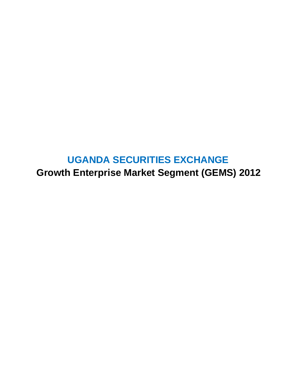# **UGANDA SECURITIES EXCHANGE**

**Growth Enterprise Market Segment (GEMS) 2012**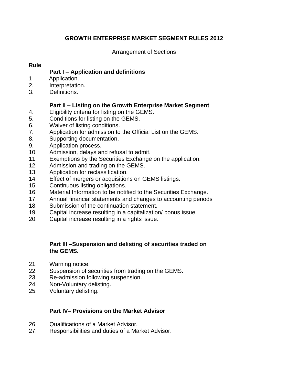## **GROWTH ENTERPRISE MARKET SEGMENT RULES 2012**

Arrangement of Sections

# **Rule**

# **Part I – Application and definitions**

- 1 Application.
- 2. Interpretation.
- 3. Definitions.

# **Part II – Listing on the Growth Enterprise Market Segment**

- 4. Eligibility criteria for listing on the GEMS.
- 5. Conditions for listing on the GEMS.
- 6. Waiver of listing conditions.
- 7. Application for admission to the Official List on the GEMS.
- 8. Supporting documentation.
- 9. Application process.
- 10. Admission, delays and refusal to admit.
- 11. Exemptions by the Securities Exchange on the application.
- 12. Admission and trading on the GEMS.
- 13. Application for reclassification.
- 14. Effect of mergers or acquisitions on GEMS listings.
- 15. Continuous listing obligations.
- 16. Material Information to be notified to the Securities Exchange.
- 17. Annual financial statements and changes to accounting periods
- 18. Submission of the continuation statement.
- 19. Capital increase resulting in a capitalization/ bonus issue.
- 20. Capital increase resulting in a rights issue.

## **Part III –Suspension and delisting of securities traded on the GEMS.**

- 21. Warning notice.
- 22. Suspension of securities from trading on the GEMS.
- 23. Re-admission following suspension.
- 24. Non-Voluntary delisting.
- 25. Voluntary delisting.

## **Part IV– Provisions on the Market Advisor**

- 26. Qualifications of a Market Advisor.
- 27. Responsibilities and duties of a Market Advisor.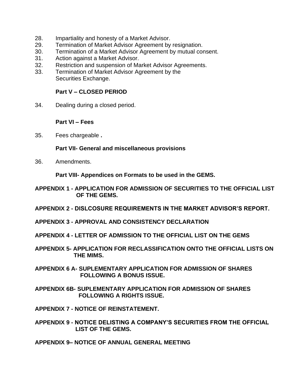- 28. Impartiality and honesty of a Market Advisor.
- 29. Termination of Market Advisor Agreement by resignation.
- 30. Termination of a Market Advisor Agreement by mutual consent.
- 31. Action against a Market Advisor.
- 32. Restriction and suspension of Market Advisor Agreements.
- 33. Termination of Market Advisor Agreement by the Securities Exchange.

#### **Part V – CLOSED PERIOD**

34. Dealing during a closed period.

#### **Part VI – Fees**

35. Fees chargeable **.**

#### **Part VII- General and miscellaneous provisions**

36. Amendments.

**Part VIII- Appendices on Formats to be used in the GEMS.**

- **APPENDIX 1 - APPLICATION FOR ADMISSION OF SECURITIES TO THE OFFICIAL LIST OF THE GEMS.**
- **APPENDIX 2 - DISLCOSURE REQUIREMENTS IN THE MARKET ADVISOR'S REPORT.**
- **APPENDIX 3 - APPROVAL AND CONSISTENCY DECLARATION**
- **APPENDIX 4 - LETTER OF ADMISSION TO THE OFFICIAL LIST ON THE GEMS**
- **APPENDIX 5- APPLICATION FOR RECLASSIFICATION ONTO THE OFFICIAL LISTS ON THE MIMS.**
- **APPENDIX 6 A- SUPLEMENTARY APPLICATION FOR ADMISSION OF SHARES FOLLOWING A BONUS ISSUE.**
- **APPENDIX 6B- SUPLEMENTARY APPLICATION FOR ADMISSION OF SHARES FOLLOWING A RIGHTS ISSUE.**

**APPENDIX 7 - NOTICE OF REINSTATEMENT.**

**APPENDIX 9 - NOTICE DELISTING A COMPANY'S SECURITIES FROM THE OFFICIAL LIST OF THE GEMS.**

**APPENDIX 9– NOTICE OF ANNUAL GENERAL MEETING**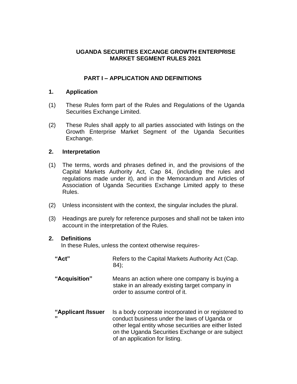## **UGANDA SECURITIES EXCANGE GROWTH ENTERPRISE MARKET SEGMENT RULES 2021**

## **PART I – APPLICATION AND DEFINITIONS**

## **1. Application**

- (1) These Rules form part of the Rules and Regulations of the Uganda Securities Exchange Limited.
- (2) These Rules shall apply to all parties associated with listings on the Growth Enterprise Market Segment of the Uganda Securities Exchange.

## **2. Interpretation**

- (1) The terms, words and phrases defined in, and the provisions of the Capital Markets Authority Act, Cap 84, (including the rules and regulations made under it), and in the Memorandum and Articles of Association of Uganda Securities Exchange Limited apply to these Rules.
- (2) Unless inconsistent with the context, the singular includes the plural.
- (3) Headings are purely for reference purposes and shall not be taken into account in the interpretation of the Rules.

#### **2. Definitions**

In these Rules, unless the context otherwise requires-

"Act" Refers to the Capital Markets Authority Act (Cap. 84); **"Acquisition"** Means an action where one company is buying a stake in an already existing target company in order to assume control of it. **"Applicant /Issuer** Is a body corporate incorporated in or registered to **"** conduct business under the laws of Uganda or other legal entity whose securities are either listed on the Uganda Securities Exchange or are subject of an application for listing.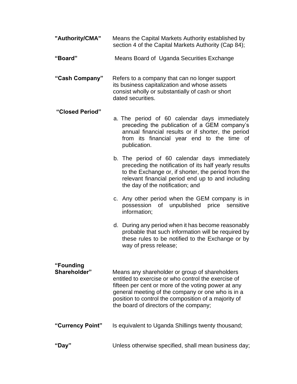- **"Authority/CMA"** Means the Capital Markets Authority established by section 4 of the Capital Markets Authority (Cap 84);
- **"Board"** Means Board of Uganda Securities Exchange

**"Cash Company"** Refers to a company that can no longer support its business capitalization and whose assets consist wholly or substantially of cash or short dated securities.

## **"Closed Period"**

- a. The period of 60 calendar days immediately preceding the publication of a GEM company's annual financial results or if shorter, the period from its financial year end to the time of publication.
	- b. The period of 60 calendar days immediately preceding the notification of its half yearly results to the Exchange or, if shorter, the period from the relevant financial period end up to and including the day of the notification; and
	- c. Any other period when the GEM company is in possession of unpublished price sensitive information;
	- d. During any period when it has become reasonably probable that such information will be required by these rules to be notified to the Exchange or by way of press release;

| "Founding<br>Shareholder" | Means any shareholder or group of shareholders<br>entitled to exercise or who control the exercise of<br>fifteen per cent or more of the voting power at any<br>general meeting of the company or one who is in a<br>position to control the composition of a majority of<br>the board of directors of the company; |
|---------------------------|---------------------------------------------------------------------------------------------------------------------------------------------------------------------------------------------------------------------------------------------------------------------------------------------------------------------|
| "Currency Point"          | Is equivalent to Uganda Shillings twenty thousand;                                                                                                                                                                                                                                                                  |

**"Day"** Unless otherwise specified, shall mean business day;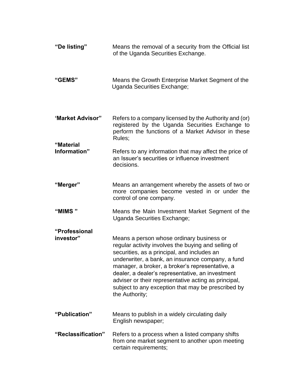| "De listing"               | Means the removal of a security from the Official list<br>of the Uganda Securities Exchange.                                                                                                                                                                                                                                                                                                                                                |
|----------------------------|---------------------------------------------------------------------------------------------------------------------------------------------------------------------------------------------------------------------------------------------------------------------------------------------------------------------------------------------------------------------------------------------------------------------------------------------|
| "GEMS"                     | Means the Growth Enterprise Market Segment of the<br>Uganda Securities Exchange;                                                                                                                                                                                                                                                                                                                                                            |
| 'Market Advisor"           | Refers to a company licensed by the Authority and (or)<br>registered by the Uganda Securities Exchange to<br>perform the functions of a Market Advisor in these<br>Rules;                                                                                                                                                                                                                                                                   |
| "Material<br>Information"  | Refers to any information that may affect the price of<br>an Issuer's securities or influence investment<br>decisions.                                                                                                                                                                                                                                                                                                                      |
| "Merger"                   | Means an arrangement whereby the assets of two or<br>more companies become vested in or under the<br>control of one company.                                                                                                                                                                                                                                                                                                                |
| "MIMS"                     | Means the Main Investment Market Segment of the<br>Uganda Securities Exchange;                                                                                                                                                                                                                                                                                                                                                              |
| "Professional<br>investor" | Means a person whose ordinary business or<br>regular activity involves the buying and selling of<br>securities, as a principal, and includes an<br>underwriter, a bank, an insurance company, a fund<br>manager, a broker, a broker's representative, a<br>dealer, a dealer's representative, an investment<br>adviser or their representative acting as principal,<br>subject to any exception that may be prescribed by<br>the Authority; |
| "Publication"              | Means to publish in a widely circulating daily<br>English newspaper;                                                                                                                                                                                                                                                                                                                                                                        |
| "Reclassification"         | Refers to a process when a listed company shifts<br>from one market segment to another upon meeting<br>certain requirements;                                                                                                                                                                                                                                                                                                                |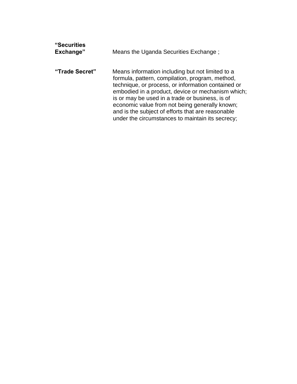| "Securities<br>Exchange" | Means the Uganda Securities Exchange;                                                                                                                                                                                                                                                                                                                                                                                        |
|--------------------------|------------------------------------------------------------------------------------------------------------------------------------------------------------------------------------------------------------------------------------------------------------------------------------------------------------------------------------------------------------------------------------------------------------------------------|
| "Trade Secret"           | Means information including but not limited to a<br>formula, pattern, compilation, program, method,<br>technique, or process, or information contained or<br>embodied in a product, device or mechanism which;<br>is or may be used in a trade or business, is of<br>economic value from not being generally known;<br>and is the subject of efforts that are reasonable<br>under the circumstances to maintain its secrecy; |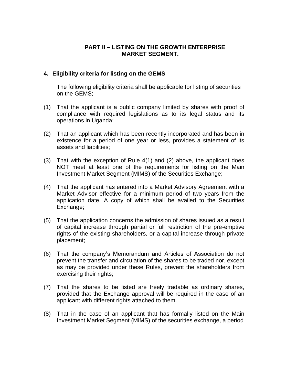## **PART II – LISTING ON THE GROWTH ENTERPRISE MARKET SEGMENT.**

#### **4. Eligibility criteria for listing on the GEMS**

The following eligibility criteria shall be applicable for listing of securities on the GEMS;

- (1) That the applicant is a public company limited by shares with proof of compliance with required legislations as to its legal status and its operations in Uganda;
- (2) That an applicant which has been recently incorporated and has been in existence for a period of one year or less, provides a statement of its assets and liabilities;
- (3) That with the exception of Rule 4(1) and (2) above, the applicant does NOT meet at least one of the requirements for listing on the Main Investment Market Segment (MIMS) of the Securities Exchange;
- (4) That the applicant has entered into a Market Advisory Agreement with a Market Advisor effective for a minimum period of two years from the application date. A copy of which shall be availed to the Securities Exchange;
- (5) That the application concerns the admission of shares issued as a result of capital increase through partial or full restriction of the pre-emptive rights of the existing shareholders, or a capital increase through private placement;
- (6) That the company's Memorandum and Articles of Association do not prevent the transfer and circulation of the shares to be traded nor, except as may be provided under these Rules, prevent the shareholders from exercising their rights;
- (7) That the shares to be listed are freely tradable as ordinary shares, provided that the Exchange approval will be required in the case of an applicant with different rights attached to them.
- (8) That in the case of an applicant that has formally listed on the Main Investment Market Segment (MIMS) of the securities exchange, a period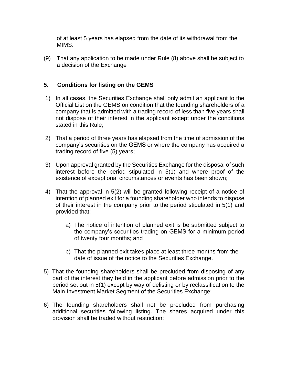of at least 5 years has elapsed from the date of its withdrawal from the MIMS.

(9) That any application to be made under Rule (8) above shall be subject to a decision of the Exchange

## **5. Conditions for listing on the GEMS**

- 1) In all cases, the Securities Exchange shall only admit an applicant to the Official List on the GEMS on condition that the founding shareholders of a company that is admitted with a trading record of less than five years shall not dispose of their interest in the applicant except under the conditions stated in this Rule;
- 2) That a period of three years has elapsed from the time of admission of the company's securities on the GEMS or where the company has acquired a trading record of five (5) years;
- 3) Upon approval granted by the Securities Exchange for the disposal of such interest before the period stipulated in 5(1) and where proof of the existence of exceptional circumstances or events has been shown;
- 4) That the approval in 5(2) will be granted following receipt of a notice of intention of planned exit for a founding shareholder who intends to dispose of their interest in the company prior to the period stipulated in 5(1) and provided that;
	- a) The notice of intention of planned exit is be submitted subject to the company's securities trading on GEMS for a minimum period of twenty four months; and
	- b) That the planned exit takes place at least three months from the date of issue of the notice to the Securities Exchange.
- 5) That the founding shareholders shall be precluded from disposing of any part of the interest they held in the applicant before admission prior to the period set out in 5(1) except by way of delisting or by reclassification to the Main Investment Market Segment of the Securities Exchange;
- 6) The founding shareholders shall not be precluded from purchasing additional securities following listing. The shares acquired under this provision shall be traded without restriction;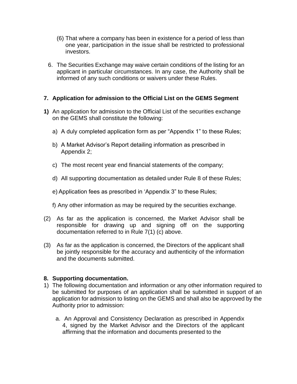- (6) That where a company has been in existence for a period of less than one year, participation in the issue shall be restricted to professional investors.
- 6. The Securities Exchange may waive certain conditions of the listing for an applicant in particular circumstances. In any case, the Authority shall be informed of any such conditions or waivers under these Rules.

## **7. Application for admission to the Official List on the GEMS Segment**

- **1)** An application for admission to the Official List of the securities exchange on the GEMS shall constitute the following:
	- a) A duly completed application form as per "Appendix 1" to these Rules;
	- b) A Market Advisor's Report detailing information as prescribed in Appendix 2;
	- c) The most recent year end financial statements of the company;
	- d) All supporting documentation as detailed under Rule 8 of these Rules;
	- e) Application fees as prescribed in 'Appendix 3" to these Rules;
	- f) Any other information as may be required by the securities exchange.
- (2) As far as the application is concerned, the Market Advisor shall be responsible for drawing up and signing off on the supporting documentation referred to in Rule 7(1) (c) above.
- (3) As far as the application is concerned, the Directors of the applicant shall be jointly responsible for the accuracy and authenticity of the information and the documents submitted.

#### **8. Supporting documentation.**

- 1) The following documentation and information or any other information required to be submitted for purposes of an application shall be submitted in support of an application for admission to listing on the GEMS and shall also be approved by the Authority prior to admission:
	- a. An Approval and Consistency Declaration as prescribed in Appendix 4, signed by the Market Advisor and the Directors of the applicant affirming that the information and documents presented to the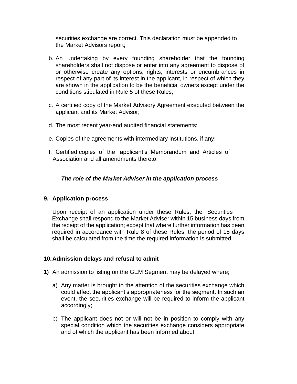securities exchange are correct. This declaration must be appended to the Market Advisors report;

- b. An undertaking by every founding shareholder that the founding shareholders shall not dispose or enter into any agreement to dispose of or otherwise create any options, rights, interests or encumbrances in respect of any part of its interest in the applicant, in respect of which they are shown in the application to be the beneficial owners except under the conditions stipulated in Rule 5 of these Rules;
- c. A certified copy of the Market Advisory Agreement executed between the applicant and its Market Advisor;
- d. The most recent year-end audited financial statements;
- e. Copies of the agreements with intermediary institutions, if any;
- f. Certified copies of the applicant's Memorandum and Articles of Association and all amendments thereto;

## *The role of the Market Adviser in the application process*

#### **9. Application process**

Upon receipt of an application under these Rules, the Securities Exchange shall respond to the Market Adviser within 15 business days from the receipt of the application; except that where further information has been required in accordance with Rule 8 of these Rules, the period of 15 days shall be calculated from the time the required information is submitted.

#### **10.Admission delays and refusal to admit**

- **1)** An admission to listing on the GEM Segment may be delayed where;
	- a) Any matter is brought to the attention of the securities exchange which could affect the applicant's appropriateness for the segment. In such an event, the securities exchange will be required to inform the applicant accordingly;
	- b) The applicant does not or will not be in position to comply with any special condition which the securities exchange considers appropriate and of which the applicant has been informed about.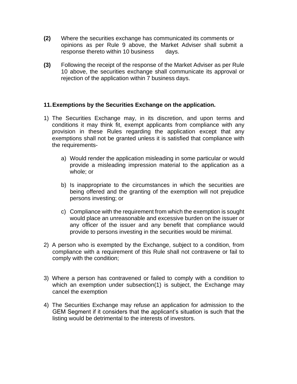- **(2)** Where the securities exchange has communicated its comments or opinions as per Rule 9 above, the Market Adviser shall submit a response thereto within 10 business days.
- **(3)** Following the receipt of the response of the Market Adviser as per Rule 10 above, the securities exchange shall communicate its approval or rejection of the application within 7 business days.

#### **11.Exemptions by the Securities Exchange on the application.**

- 1) The Securities Exchange may, in its discretion, and upon terms and conditions it may think fit, exempt applicants from compliance with any provision in these Rules regarding the application except that any exemptions shall not be granted unless it is satisfied that compliance with the requirements
	- a) Would render the application misleading in some particular or would provide a misleading impression material to the application as a whole; or
	- b) Is inappropriate to the circumstances in which the securities are being offered and the granting of the exemption will not prejudice persons investing; or
	- c) Compliance with the requirement from which the exemption is sought would place an unreasonable and excessive burden on the issuer or any officer of the issuer and any benefit that compliance would provide to persons investing in the securities would be minimal.
- 2) A person who is exempted by the Exchange, subject to a condition, from compliance with a requirement of this Rule shall not contravene or fail to comply with the condition;
- 3) Where a person has contravened or failed to comply with a condition to which an exemption under subsection(1) is subject, the Exchange may cancel the exemption
- 4) The Securities Exchange may refuse an application for admission to the GEM Segment if it considers that the applicant's situation is such that the listing would be detrimental to the interests of investors.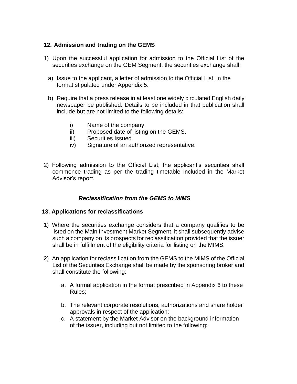## **12. Admission and trading on the GEMS**

- 1) Upon the successful application for admission to the Official List of the securities exchange on the GEM Segment, the securities exchange shall;
	- a) Issue to the applicant, a letter of admission to the Official List, in the format stipulated under Appendix 5.
	- b) Require that a press release in at least one widely circulated English daily newspaper be published. Details to be included in that publication shall include but are not limited to the following details:
		- i) Name of the company.
		- ii) Proposed date of listing on the GEMS.
		- iii) Securities Issued
		- iv) Signature of an authorized representative.
- 2) Following admission to the Official List, the applicant's securities shall commence trading as per the trading timetable included in the Market Advisor's report.

## *Reclassification from the GEMS to MIMS*

#### **13. Applications for reclassifications**

- 1) Where the securities exchange considers that a company qualifies to be listed on the Main Investment Market Segment, it shall subsequently advise such a company on its prospects for reclassification provided that the issuer shall be in fulfillment of the eligibility criteria for listing on the MIMS.
- 2) An application for reclassification from the GEMS to the MIMS of the Official List of the Securities Exchange shall be made by the sponsoring broker and shall constitute the following:
	- a. A formal application in the format prescribed in Appendix 6 to these Rules;
	- b. The relevant corporate resolutions, authorizations and share holder approvals in respect of the application;
	- c. A statement by the Market Advisor on the background information of the issuer, including but not limited to the following: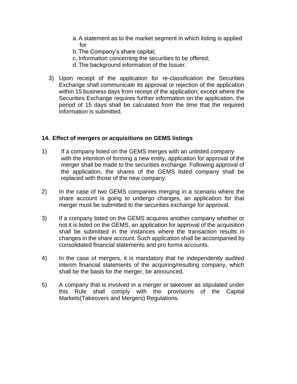- a.A statement as to the market segment in which listing is applied for
- b. The Company's share capital;
- c. Information concerning the securities to be offered;
- d. The background information of the Issuer.
- 3) Upon receipt of the application for re-classification the Securities Exchange shall communicate its approval or rejection of the application within 15 business days from receipt of the application; except where the Securities Exchange requires further information on the application, the period of 15 days shall be calculated from the time that the required information is submitted.

## **14. Effect of mergers or acquisitions on GEMS listings**

- 1) If a company listed on the GEMS merges with an unlisted company with the intention of forming a new entity, application for approval of the merger shall be made to the securities exchange. Following approval of the application, the shares of the GEMS listed company shall be replaced with those of the new company.
- 2) In the case of two GEMS companies merging in a scenario where the share account is going to undergo changes, an application for that merger must be submitted to the securities exchange for approval.
- 3) If a company listed on the GEMS acquires another company whether or not it is listed on the GEMS, an application for approval of the acquisition shall be submitted in the instances where the transaction results in changes in the share account. Such application shall be accompanied by consolidated financial statements and pro forma accounts.
- 4) In the case of mergers, it is mandatory that he independently audited interim financial statements of the acquiring/resulting company, which shall be the basis for the merger, be announced.
- 5) A company that is involved in a merger or takeover as stipulated under this Rule shall comply with the provisions of the Capital Markets(Takeovers and Mergers) Regulations.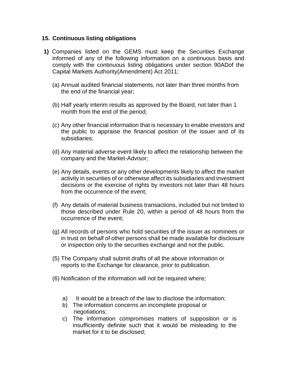#### **15. Continuous listing obligations**

- **1)** Companies listed on the GEMS must keep the Securities Exchange informed of any of the following information on a continuous basis and comply with the continuous listing obligations under section 90ADof the Capital Markets Authority(Amendment) Act 2011;
	- (a) Annual audited financial statements, not later than three months from the end of the financial year;
	- (b) Half yearly interim results as approved by the Board, not later than 1 month from the end of the period;
	- (c) Any other financial information that is necessary to enable investors and the public to appraise the financial position of the issuer and of its subsidiaries;
	- (d) Any material adverse event likely to affect the relationship between the company and the Market-Advisor;
	- (e) Any details, events or any other developments likely to affect the market activity in securities of or otherwise affect its subsidiaries and investment decisions or the exercise of rights by investors not later than 48 hours from the occurrence of the event;
	- (f) Any details of material business transactions, included but not limited to those described under Rule 20, within a period of 48 hours from the occurrence of the event;
	- (g) All records of persons who hold securities of the issuer as nominees or in trust on behalf of other persons shall be made available for disclosure or inspection only to the securities exchange and not the public.
	- (5) The Company shall submit drafts of all the above information or reports to the Exchange for clearance, prior to publication.
	- (6) Notification of the information will not be required where;
		- a) It would be a breach of the law to disclose the information;
		- b) The information concerns an incomplete proposal or negotiations;
		- c) The information compromises matters of supposition or is insufficiently definite such that it would be misleading to the market for it to be disclosed;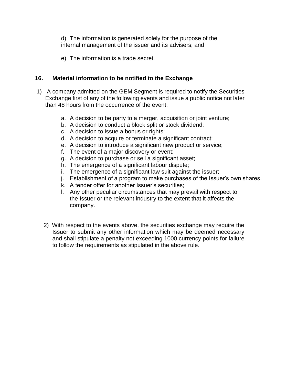d) The information is generated solely for the purpose of the internal management of the issuer and its advisers; and

e) The information is a trade secret.

## **16. Material information to be notified to the Exchange**

- 1) A company admitted on the GEM Segment is required to notify the Securities Exchange first of any of the following events and issue a public notice not later than 48 hours from the occurrence of the event:
	- a. A decision to be party to a merger, acquisition or joint venture;
	- b. A decision to conduct a block split or stock dividend;
	- c. A decision to issue a bonus or rights;
	- d. A decision to acquire or terminate a significant contract;
	- e. A decision to introduce a significant new product or service;
	- f. The event of a major discovery or event;
	- g. A decision to purchase or sell a significant asset;
	- h. The emergence of a significant labour dispute;
	- i. The emergence of a significant law suit against the issuer;
	- j. Establishment of a program to make purchases of the Issuer's own shares.
	- k. A tender offer for another Issuer's securities;
	- l. Any other peculiar circumstances that may prevail with respect to the Issuer or the relevant industry to the extent that it affects the company.
	- 2) With respect to the events above, the securities exchange may require the Issuer to submit any other information which may be deemed necessary and shall stipulate a penalty not exceeding 1000 currency points for failure to follow the requirements as stipulated in the above rule.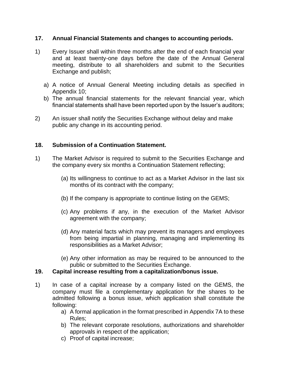## **17. Annual Financial Statements and changes to accounting periods.**

- 1) Every Issuer shall within three months after the end of each financial year and at least twenty-one days before the date of the Annual General meeting, distribute to all shareholders and submit to the Securities Exchange and publish;
	- a) A notice of Annual General Meeting including details as specified in Appendix 10;
	- b) The annual financial statements for the relevant financial year, which financial statements shall have been reported upon by the Issuer's auditors;
- 2) An issuer shall notify the Securities Exchange without delay and make public any change in its accounting period.

#### **18. Submission of a Continuation Statement.**

- 1) The Market Advisor is required to submit to the Securities Exchange and the company every six months a Continuation Statement reflecting;
	- (a) Its willingness to continue to act as a Market Advisor in the last six months of its contract with the company;
	- (b) If the company is appropriate to continue listing on the GEMS;
	- (c) Any problems if any, in the execution of the Market Advisor agreement with the company;
	- (d) Any material facts which may prevent its managers and employees from being impartial in planning, managing and implementing its responsibilities as a Market Advisor;
	- (e) Any other information as may be required to be announced to the public or submitted to the Securities Exchange.

## **19. Capital increase resulting from a capitalization/bonus issue.**

- 1) In case of a capital increase by a company listed on the GEMS, the company must file a complementary application for the shares to be admitted following a bonus issue, which application shall constitute the following:
	- a) A formal application in the format prescribed in Appendix 7A to these Rules;
	- b) The relevant corporate resolutions, authorizations and shareholder approvals in respect of the application;
	- c) Proof of capital increase;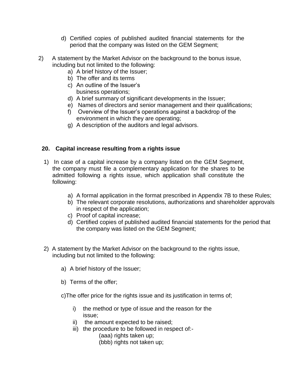- d) Certified copies of published audited financial statements for the period that the company was listed on the GEM Segment;
- 2) A statement by the Market Advisor on the background to the bonus issue, including but not limited to the following:
	- a) A brief history of the Issuer;
	- b) The offer and its terms
	- c) An outline of the Issuer's business operations;
	- d) A brief summary of significant developments in the Issuer;
	- e) Names of directors and senior management and their qualifications;
	- f) Overview of the Issuer's operations against a backdrop of the environment in which they are operating;
	- g) A description of the auditors and legal advisors.

## **20. Capital increase resulting from a rights issue**

- 1) In case of a capital increase by a company listed on the GEM Segment, the company must file a complementary application for the shares to be admitted following a rights issue, which application shall constitute the following:
	- a) A formal application in the format prescribed in Appendix 7B to these Rules;
	- b) The relevant corporate resolutions, authorizations and shareholder approvals in respect of the application;
	- c) Proof of capital increase;
	- d) Certified copies of published audited financial statements for the period that the company was listed on the GEM Segment;
- 2) A statement by the Market Advisor on the background to the rights issue, including but not limited to the following:
	- a) A brief history of the Issuer;
	- b) Terms of the offer;
	- c)The offer price for the rights issue and its justification in terms of;
		- i) the method or type of issue and the reason for the issue;
		- ii) the amount expected to be raised;
		- iii) the procedure to be followed in respect of:-
			- (aaa) rights taken up;
			- (bbb) rights not taken up;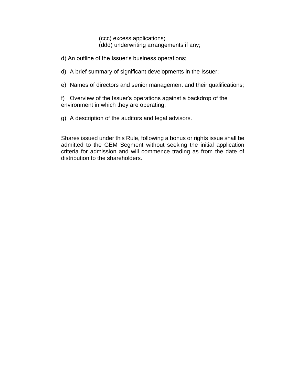(ccc) excess applications; (ddd) underwriting arrangements if any;

- d) An outline of the Issuer's business operations;
- d) A brief summary of significant developments in the Issuer;
- e) Names of directors and senior management and their qualifications;

f) Overview of the Issuer's operations against a backdrop of the environment in which they are operating;

g) A description of the auditors and legal advisors.

Shares issued under this Rule, following a bonus or rights issue shall be admitted to the GEM Segment without seeking the initial application criteria for admission and will commence trading as from the date of distribution to the shareholders.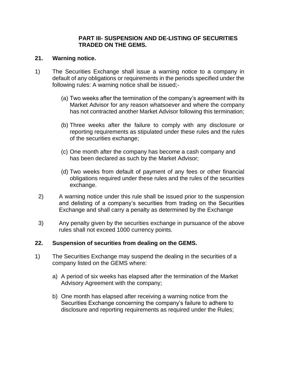#### **PART III- SUSPENSION AND DE-LISTING OF SECURITIES TRADED ON THE GEMS.**

## **21. Warning notice.**

- 1) The Securities Exchange shall issue a warning notice to a company in default of any obligations or requirements in the periods specified under the following rules: A warning notice shall be issued;-
	- (a) Two weeks after the termination of the company's agreement with its Market Advisor for any reason whatsoever and where the company has not contracted another Market Advisor following this termination;
	- (b) Three weeks after the failure to comply with any disclosure or reporting requirements as stipulated under these rules and the rules of the securities exchange;
	- (c) One month after the company has become a cash company and has been declared as such by the Market Advisor;
	- (d) Two weeks from default of payment of any fees or other financial obligations required under these rules and the rules of the securities exchange.
- 2) A warning notice under this rule shall be issued prior to the suspension and delisting of a company's securities from trading on the Securities Exchange and shall carry a penalty as determined by the Exchange
- 3) Any penalty given by the securities exchange in pursuance of the above rules shall not exceed 1000 currency points.

## **22. Suspension of securities from dealing on the GEMS.**

- 1) The Securities Exchange may suspend the dealing in the securities of a company listed on the GEMS where:
	- a) A period of six weeks has elapsed after the termination of the Market Advisory Agreement with the company;
	- b) One month has elapsed after receiving a warning notice from the Securities Exchange concerning the company's failure to adhere to disclosure and reporting requirements as required under the Rules;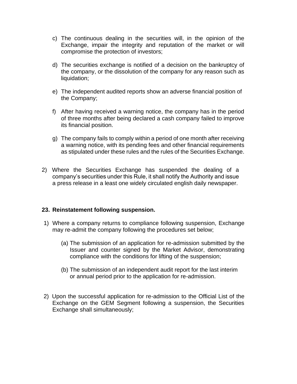- c) The continuous dealing in the securities will, in the opinion of the Exchange, impair the integrity and reputation of the market or will compromise the protection of investors;
- d) The securities exchange is notified of a decision on the bankruptcy of the company, or the dissolution of the company for any reason such as liquidation;
- e) The independent audited reports show an adverse financial position of the Company;
- f) After having received a warning notice, the company has in the period of three months after being declared a cash company failed to improve its financial position.
- g) The company fails to comply within a period of one month after receiving a warning notice, with its pending fees and other financial requirements as stipulated under these rules and the rules of the Securities Exchange.
- 2) Where the Securities Exchange has suspended the dealing of a company's securities under this Rule, it shall notify the Authority and issue a press release in a least one widely circulated english daily newspaper.

#### **23. Reinstatement following suspension.**

- 1) Where a company returns to compliance following suspension, Exchange may re-admit the company following the procedures set below;
	- (a) The submission of an application for re-admission submitted by the Issuer and counter signed by the Market Advisor, demonstrating compliance with the conditions for lifting of the suspension;
	- (b) The submission of an independent audit report for the last interim or annual period prior to the application for re-admission.
- 2) Upon the successful application for re-admission to the Official List of the Exchange on the GEM Segment following a suspension, the Securities Exchange shall simultaneously;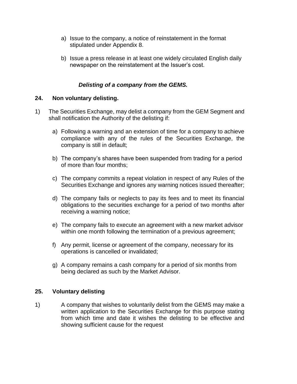- a) Issue to the company, a notice of reinstatement in the format stipulated under Appendix 8.
- b) Issue a press release in at least one widely circulated English daily newspaper on the reinstatement at the Issuer's cost.

## *Delisting of a company from the GEMS.*

#### **24. Non voluntary delisting.**

- 1) The Securities Exchange, may delist a company from the GEM Segment and shall notification the Authority of the delisting if:
	- a) Following a warning and an extension of time for a company to achieve compliance with any of the rules of the Securities Exchange, the company is still in default;
	- b) The company's shares have been suspended from trading for a period of more than four months;
	- c) The company commits a repeat violation in respect of any Rules of the Securities Exchange and ignores any warning notices issued thereafter;
	- d) The company fails or neglects to pay its fees and to meet its financial obligations to the securities exchange for a period of two months after receiving a warning notice;
	- e) The company fails to execute an agreement with a new market advisor within one month following the termination of a previous agreement;
	- f) Any permit, license or agreement of the company, necessary for its operations is cancelled or invalidated;
	- g) A company remains a cash company for a period of six months from being declared as such by the Market Advisor.

#### **25. Voluntary delisting**

1) A company that wishes to voluntarily delist from the GEMS may make a written application to the Securities Exchange for this purpose stating from which time and date it wishes the delisting to be effective and showing sufficient cause for the request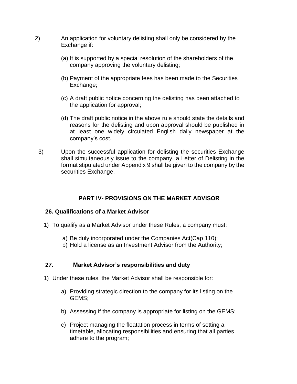- 2) An application for voluntary delisting shall only be considered by the Exchange if:
	- (a) It is supported by a special resolution of the shareholders of the company approving the voluntary delisting;
	- (b) Payment of the appropriate fees has been made to the Securities Exchange;
	- (c) A draft public notice concerning the delisting has been attached to the application for approval;
	- (d) The draft public notice in the above rule should state the details and reasons for the delisting and upon approval should be published in at least one widely circulated English daily newspaper at the company's cost.
	- 3) Upon the successful application for delisting the securities Exchange shall simultaneously issue to the company, a Letter of Delisting in the format stipulated under Appendix 9 shall be given to the company by the securities Exchange.

#### **PART IV- PROVISIONS ON THE MARKET ADVISOR**

#### **26. Qualifications of a Market Advisor**

- 1) To qualify as a Market Advisor under these Rules, a company must;
	- a) Be duly incorporated under the Companies Act(Cap 110);
	- b) Hold a license as an Investment Advisor from the Authority;

#### **27. Market Advisor's responsibilities and duty**

- 1) Under these rules, the Market Advisor shall be responsible for:
	- a) Providing strategic direction to the company for its listing on the GEMS;
	- b) Assessing if the company is appropriate for listing on the GEMS;
	- c) Project managing the floatation process in terms of setting a timetable, allocating responsibilities and ensuring that all parties adhere to the program;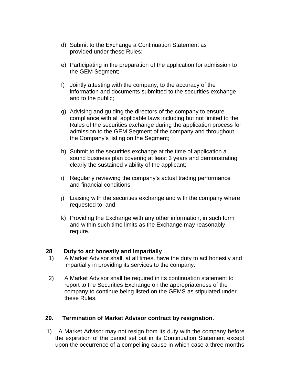- d) Submit to the Exchange a Continuation Statement as provided under these Rules;
- e) Participating in the preparation of the application for admission to the GEM Segment;
- f) Jointly attesting with the company, to the accuracy of the information and documents submitted to the securities exchange and to the public;
- g) Advising and guiding the directors of the company to ensure compliance with all applicable laws including but not limited to the Rules of the securities exchange during the application process for admission to the GEM Segment of the company and throughout the Company's listing on the Segment;
- h) Submit to the securities exchange at the time of application a sound business plan covering at least 3 years and demonstrating clearly the sustained viability of the applicant;
- i) Regularly reviewing the company's actual trading performance and financial conditions;
- j) Liaising with the securities exchange and with the company where requested to; and
- k) Providing the Exchange with any other information, in such form and within such time limits as the Exchange may reasonably require.

#### **28 Duty to act honestly and Impartially**

- 1) A Market Advisor shall, at all times, have the duty to act honestly and impartially in providing its services to the company.
- 2) A Market Advisor shall be required in its continuation statement to report to the Securities Exchange on the appropriateness of the company to continue being listed on the GEMS as stipulated under these Rules.

#### **29. Termination of Market Advisor contract by resignation.**

1)A Market Advisor may not resign from its duty with the company before the expiration of the period set out in its Continuation Statement except upon the occurrence of a compelling cause in which case a three months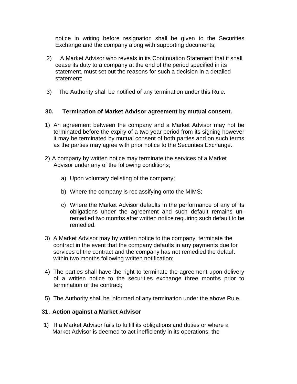notice in writing before resignation shall be given to the Securities Exchange and the company along with supporting documents;

- 2) A Market Advisor who reveals in its Continuation Statement that it shall cease its duty to a company at the end of the period specified in its statement, must set out the reasons for such a decision in a detailed statement;
- 3) The Authority shall be notified of any termination under this Rule.

## **30. Termination of Market Advisor agreement by mutual consent.**

- 1) An agreement between the company and a Market Advisor may not be terminated before the expiry of a two year period from its signing however it may be terminated by mutual consent of both parties and on such terms as the parties may agree with prior notice to the Securities Exchange.
- 2) A company by written notice may terminate the services of a Market Advisor under any of the following conditions;
	- a) Upon voluntary delisting of the company;
	- b) Where the company is reclassifying onto the MIMS;
	- c) Where the Market Advisor defaults in the performance of any of its obligations under the agreement and such default remains unremedied two months after written notice requiring such default to be remedied.
- 3) A Market Advisor may by written notice to the company, terminate the contract in the event that the company defaults in any payments due for services of the contract and the company has not remedied the default within two months following written notification;
- 4) The parties shall have the right to terminate the agreement upon delivery of a written notice to the securities exchange three months prior to termination of the contract;
- 5) The Authority shall be informed of any termination under the above Rule.

#### **31. Action against a Market Advisor**

1) If a Market Advisor fails to fulfill its obligations and duties or where a Market Advisor is deemed to act inefficiently in its operations, the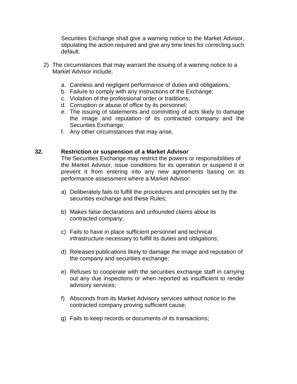Securities Exchange shall give a warning notice to the Market Advisor, stipulating the action required and give any time lines for correcting such default.

- 2) The circumstances that may warrant the issuing of a warning notice to a Market Advisor include;
	- a. Careless and negligent performance of duties and obligations;
	- b. Failure to comply with any instructions of the Exchange;
	- c. Violation of the professional order or traditions;
	- d. Corruption or abuse of office by its personnel;
	- e. The issuing of statements and committing of acts likely to damage the image and reputation of its contracted company and the Securities Exchange;
	- f. Any other circumstances that may arise.

#### **32. Restriction or suspension of a Market Advisor**

The Securities Exchange may restrict the powers or responsibilities of the Market Advisor, issue conditions for its operation or suspend it or prevent it from entering into any new agreements basing on its performance assessment where a Market Advisor:

- a) Deliberately fails to fulfill the procedures and principles set by the securities exchange and these Rules;
- b) Makes false declarations and unfounded claims about its contracted company;
- c) Fails to have in place sufficient personnel and technical infrastructure necessary to fulfill its duties and obligations;
- d) Releases publications likely to damage the image and reputation of the company and securities exchange;
- e) Refuses to cooperate with the securities exchange staff in carrying out any due inspections or when reported as insufficient to render advisory services;
- f) Absconds from its Market Advisory services without notice to the contracted company proving sufficient cause;
- g) Fails to keep records or documents of its transactions;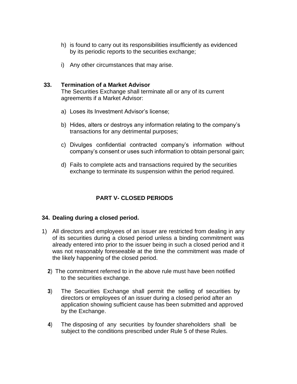- h) is found to carry out its responsibilities insufficiently as evidenced by its periodic reports to the securities exchange;
- i) Any other circumstances that may arise.

#### **33. Termination of a Market Advisor**

The Securities Exchange shall terminate all or any of its current agreements if a Market Advisor:

- a) Loses its Investment Advisor's license;
- b) Hides, alters or destroys any information relating to the company's transactions for any detrimental purposes;
- c) Divulges confidential contracted company's information without company's consent or uses such information to obtain personal gain;
- d) Fails to complete acts and transactions required by the securities exchange to terminate its suspension within the period required.

## **PART V- CLOSED PERIODS**

#### **34. Dealing during a closed period.**

- 1) All directors and employees of an issuer are restricted from dealing in any of its securities during a closed period unless a binding commitment was already entered into prior to the issuer being in such a closed period and it was not reasonably foreseeable at the time the commitment was made of the likely happening of the closed period.
	- **2**) The commitment referred to in the above rule must have been notified to the securities exchange.
	- **3**) The Securities Exchange shall permit the selling of securities by directors or employees of an issuer during a closed period after an application showing sufficient cause has been submitted and approved by the Exchange.
	- **4**) The disposing of any securities by founder shareholders shall be subject to the conditions prescribed under Rule 5 of these Rules.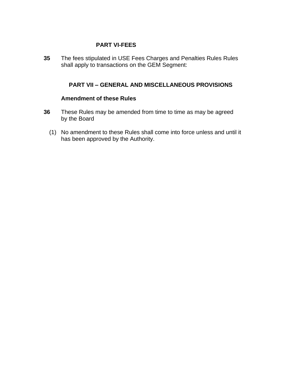## **PART VI-FEES**

**35** The fees stipulated in USE Fees Charges and Penalties Rules Rules shall apply to transactions on the GEM Segment:

## **PART VII – GENERAL AND MISCELLANEOUS PROVISIONS**

#### **Amendment of these Rules**

- **36** These Rules may be amended from time to time as may be agreed by the Board
	- (1) No amendment to these Rules shall come into force unless and until it has been approved by the Authority.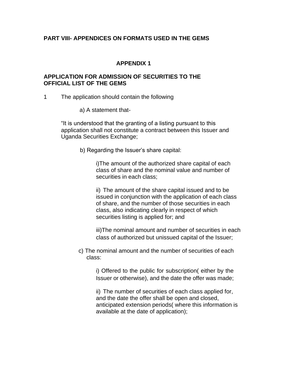## **PART VIII- APPENDICES ON FORMATS USED IN THE GEMS**

## **APPENDIX 1**

#### **APPLICATION FOR ADMISSION OF SECURITIES TO THE OFFICIAL LIST OF THE GEMS**

1 The application should contain the following

a) A statement that-

"It is understood that the granting of a listing pursuant to this application shall not constitute a contract between this Issuer and Uganda Securities Exchange;

b) Regarding the Issuer's share capital:

i)The amount of the authorized share capital of each class of share and the nominal value and number of securities in each class;

ii) The amount of the share capital issued and to be issued in conjunction with the application of each class of share, and the number of those securities in each class, also indicating clearly in respect of which securities listing is applied for; and

iii)The nominal amount and number of securities in each class of authorized but unissued capital of the Issuer;

c) The nominal amount and the number of securities of each class:

> i) Offered to the public for subscription( either by the Issuer or otherwise), and the date the offer was made;

ii) The number of securities of each class applied for, and the date the offer shall be open and closed, anticipated extension periods( where this information is available at the date of application);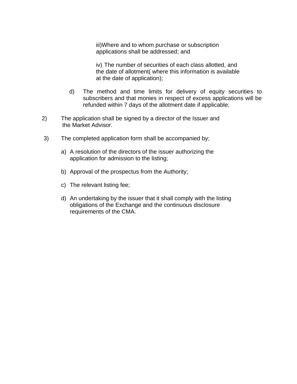iii)Where and to whom purchase or subscription applications shall be addressed; and

iv) The number of securities of each class allotted, and the date of allotment( where this information is available at the date of application);

- d) The method and time limits for delivery of equity securities to subscribers and that monies in respect of excess applications will be refunded within 7 days of the allotment date if applicable;
- 2) The application shall be signed by a director of the Issuer and the Market Advisor.
- 3) The completed application form shall be accompanied by;
	- a) A resolution of the directors of the issuer authorizing the application for admission to the listing;
	- b) Approval of the prospectus from the Authority;
	- c) The relevant listing fee;
	- d) An undertaking by the issuer that it shall comply with the listing obligations of the Exchange and the continuous disclosure requirements of the CMA.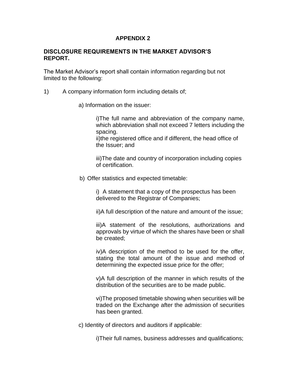#### **DISCLOSURE REQUIREMENTS IN THE MARKET ADVISOR'S REPORT.**

The Market Advisor's report shall contain information regarding but not limited to the following:

- 1) A company information form including details of;
	- a) Information on the issuer:

i)The full name and abbreviation of the company name, which abbreviation shall not exceed 7 letters including the spacing.

ii)the registered office and if different, the head office of the Issuer; and

iii)The date and country of incorporation including copies of certification.

b) Offer statistics and expected timetable:

i) A statement that a copy of the prospectus has been delivered to the Registrar of Companies;

ii)A full description of the nature and amount of the issue;

iii)A statement of the resolutions, authorizations and approvals by virtue of which the shares have been or shall be created;

iv)A description of the method to be used for the offer, stating the total amount of the issue and method of determining the expected issue price for the offer;

v)A full description of the manner in which results of the distribution of the securities are to be made public.

vi)The proposed timetable showing when securities will be traded on the Exchange after the admission of securities has been granted.

c) Identity of directors and auditors if applicable:

i)Their full names, business addresses and qualifications;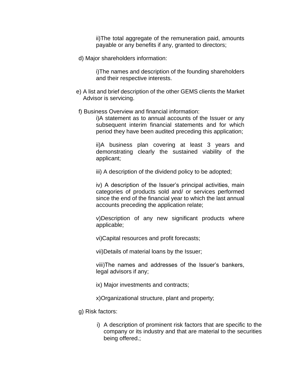ii)The total aggregate of the remuneration paid, amounts payable or any benefits if any, granted to directors;

d) Major shareholders information:

i)The names and description of the founding shareholders and their respective interests.

- e) A list and brief description of the other GEMS clients the Market Advisor is servicing.
- f) Business Overview and financial information:

i)A statement as to annual accounts of the Issuer or any subsequent interim financial statements and for which period they have been audited preceding this application;

ii)A business plan covering at least 3 years and demonstrating clearly the sustained viability of the applicant;

iii) A description of the dividend policy to be adopted;

iv) A description of the Issuer's principal activities, main categories of products sold and/ or services performed since the end of the financial year to which the last annual accounts preceding the application relate;

v)Description of any new significant products where applicable;

vi)Capital resources and profit forecasts;

vii)Details of material loans by the Issuer;

viii)The names and addresses of the Issuer's bankers, legal advisors if any;

ix) Major investments and contracts;

x)Organizational structure, plant and property;

- g) Risk factors:
	- i) A description of prominent risk factors that are specific to the company or its industry and that are material to the securities being offered.;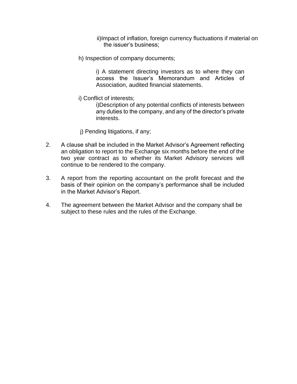ii)Impact of inflation, foreign currency fluctuations if material on the issuer's business;

h) Inspection of company documents;

i) A statement directing investors as to where they can access the Issuer's Memorandum and Articles of Association, audited financial statements.

i) Conflict of interests;

i)Description of any potential conflicts of interests between any duties to the company, and any of the director's private interests.

- j) Pending litigations, if any;
- 2. A clause shall be included in the Market Advisor's Agreement reflecting an obligation to report to the Exchange six months before the end of the two year contract as to whether its Market Advisory services will continue to be rendered to the company.
- 3. A report from the reporting accountant on the profit forecast and the basis of their opinion on the company's performance shall be included in the Market Advisor's Report.
- 4. The agreement between the Market Advisor and the company shall be subject to these rules and the rules of the Exchange.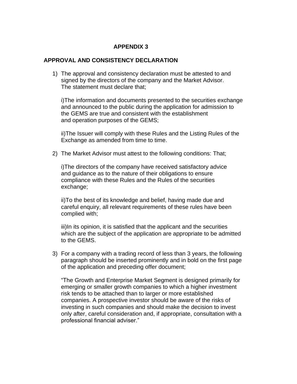#### **APPROVAL AND CONSISTENCY DECLARATION**

1) The approval and consistency declaration must be attested to and signed by the directors of the company and the Market Advisor. The statement must declare that;

i)The information and documents presented to the securities exchange and announced to the public during the application for admission to the GEMS are true and consistent with the establishment and operation purposes of the GEMS;

ii)The Issuer will comply with these Rules and the Listing Rules of the Exchange as amended from time to time.

2) The Market Advisor must attest to the following conditions: That;

i)The directors of the company have received satisfactory advice and guidance as to the nature of their obligations to ensure compliance with these Rules and the Rules of the securities exchange;

ii)To the best of its knowledge and belief, having made due and careful enquiry, all relevant requirements of these rules have been complied with;

iii)In its opinion, it is satisfied that the applicant and the securities which are the subject of the application are appropriate to be admitted to the GEMS.

3) For a company with a trading record of less than 3 years, the following paragraph should be inserted prominently and in bold on the first page of the application and preceding offer document;

"The Growth and Enterprise Market Segment is designed primarily for emerging or smaller growth companies to which a higher investment risk tends to be attached than to larger or more established companies. A prospective investor should be aware of the risks of investing in such companies and should make the decision to invest only after, careful consideration and, if appropriate, consultation with a professional financial adviser."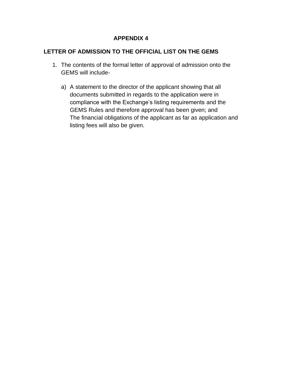## **LETTER OF ADMISSION TO THE OFFICIAL LIST ON THE GEMS**

- 1. The contents of the formal letter of approval of admission onto the GEMS will include
	- a) A statement to the director of the applicant showing that all documents submitted in regards to the application were in compliance with the Exchange's listing requirements and the GEMS Rules and therefore approval has been given; and The financial obligations of the applicant as far as application and listing fees will also be given.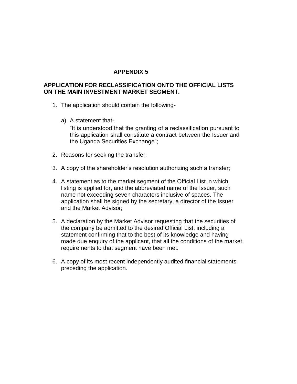#### **APPLICATION FOR RECLASSIFICATION ONTO THE OFFICIAL LISTS ON THE MAIN INVESTMENT MARKET SEGMENT.**

- 1. The application should contain the following
	- a) A statement that-

"It is understood that the granting of a reclassification pursuant to this application shall constitute a contract between the Issuer and the Uganda Securities Exchange";

- 2. Reasons for seeking the transfer;
- 3. A copy of the shareholder's resolution authorizing such a transfer;
- 4. A statement as to the market segment of the Official List in which listing is applied for, and the abbreviated name of the Issuer, such name not exceeding seven characters inclusive of spaces. The application shall be signed by the secretary, a director of the Issuer and the Market Advisor;
- 5. A declaration by the Market Advisor requesting that the securities of the company be admitted to the desired Official List, including a statement confirming that to the best of its knowledge and having made due enquiry of the applicant, that all the conditions of the market requirements to that segment have been met.
- 6. A copy of its most recent independently audited financial statements preceding the application.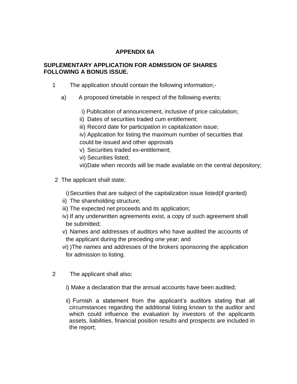# **APPENDIX 6A**

## **SUPLEMENTARY APPLICATION FOR ADMISSION OF SHARES FOLLOWING A BONUS ISSUE.**

- 1 The application should contain the following information;
	- a) A proposed timetable in respect of the following events;
		- i) Publication of announcement, inclusive of price calculation;
		- ii) Dates of securities traded cum entitlement;
		- iii) Record date for participation in capitalization issue;
		- iv) Application for listing the maximum number of securities that could be issued and other approvals
		- v) Securities traded ex-entitlement;
		- vi) Securities listed;
		- vii)Date when records will be made available on the central depository;
- 2 The applicant shall state;
	- i)Securities that are subject of the capitalization issue listed(if granted)
	- ii) The shareholding structure;
	- iii) The expected net proceeds and its application;
	- iv) If any underwritten agreements exist, a copy of such agreement shall be submitted;
	- v) Names and addresses of auditors who have audited the accounts of the applicant during the preceding one year; and
	- vi) )The names and addresses of the brokers sponsoring the application for admission to listing.
- 2 The applicant shall also;
	- i) Make a declaration that the annual accounts have been audited;
	- ii) Furnish a statement from the applicant's auditors stating that all circumstances regarding the additional listing known to the auditor and which could influence the evaluation by investors of the applicants assets, liabilities, financial position results and prospects are included in the report;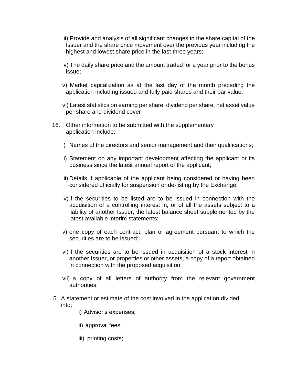- iii) Provide and analysis of all significant changes in the share capital of the Issuer and the share price movement over the previous year including the highest and lowest share price in the last three years;
- iv) The daily share price and the amount traded for a year prior to the bonus issue;
- v) Market capitalization as at the last day of the month preceding the application including issued and fully paid shares and their par value;
- vi) Latest statistics on earning per share, dividend per share, net asset value per share and dividend cover
- 16. Other information to be submitted with the supplementary application include;
	- i) Names of the directors and senior management and their qualifications;
	- ii) Statement on any important development affecting the applicant or its business since the latest annual report of the applicant;
	- iii) Details if applicable of the applicant being considered or having been considered officially for suspension or de-listing by the Exchange;
	- iv)if the securities to be listed are to be issued in connection with the acquisition of a controlling interest in, or of all the assets subject to a liability of another Issuer, the latest balance sheet supplemented by the latest available interim statements;
	- v) one copy of each contract, plan or agreement pursuant to which the securities are to be issued;
	- vi)if the securities are to be issued in acquisition of a stock interest in another Issuer, or properties or other assets, a copy of a report obtained in connection with the proposed acquisition;
	- vii) a copy of all letters of authority from the relevant government authorities.
- 5 A statement or estimate of the cost involved in the application divided into;
	- i) Advisor's expenses;
	- ii) approval fees;
	- iii) printing costs;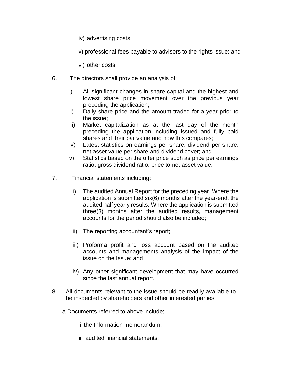iv) advertising costs;

v) professional fees payable to advisors to the rights issue; and

vi) other costs.

- 6. The directors shall provide an analysis of;
	- i) All significant changes in share capital and the highest and lowest share price movement over the previous year preceding the application;
	- ii) Daily share price and the amount traded for a year prior to the issue;
	- iii) Market capitalization as at the last day of the month preceding the application including issued and fully paid shares and their par value and how this compares;
	- iv) Latest statistics on earnings per share, dividend per share, net asset value per share and dividend cover; and
	- v) Statistics based on the offer price such as price per earnings ratio, gross dividend ratio, price to net asset value.
- 7. Financial statements including;
	- i) The audited Annual Report for the preceding year. Where the application is submitted six(6) months after the year-end, the audited half yearly results. Where the application is submitted three(3) months after the audited results, management accounts for the period should also be included;
	- ii) The reporting accountant's report;
	- iii) Proforma profit and loss account based on the audited accounts and managements analysis of the impact of the issue on the Issue; and
	- iv) Any other significant development that may have occurred since the last annual report.
- 8. All documents relevant to the issue should be readily available to be inspected by shareholders and other interested parties;
	- a.Documents referred to above include;
		- i. the Information memorandum;
		- ii. audited financial statements;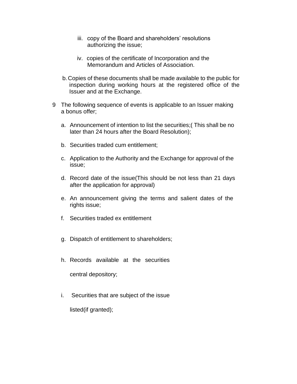- iii. copy of the Board and shareholders' resolutions authorizing the issue;
- iv. copies of the certificate of Incorporation and the Memorandum and Articles of Association.
- b.Copies of these documents shall be made available to the public for inspection during working hours at the registered office of the Issuer and at the Exchange.
- 9 The following sequence of events is applicable to an Issuer making a bonus offer;
	- a. Announcement of intention to list the securities;( This shall be no later than 24 hours after the Board Resolution);
	- b. Securities traded cum entitlement;
	- c. Application to the Authority and the Exchange for approval of the issue;
	- d. Record date of the issue(This should be not less than 21 days after the application for approval)
	- e. An announcement giving the terms and salient dates of the rights issue;
	- f. Securities traded ex entitlement
	- g. Dispatch of entitlement to shareholders;
	- h. Records available at the securities

central depository;

i. Securities that are subject of the issue listed(if granted);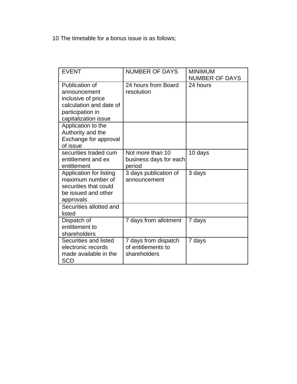10 The timetable for a bonus issue is as follows;

| <b>EVENT</b>                                                                                                                | <b>NUMBER OF DAYS</b>                                      | <b>MINIMUM</b><br><b>NUMBER OF DAYS</b> |
|-----------------------------------------------------------------------------------------------------------------------------|------------------------------------------------------------|-----------------------------------------|
| Publication of<br>announcement<br>inclusive of price<br>calculation and date of<br>participation in<br>capitalization issue | 24 hours from Board<br>resolution                          | 24 hours                                |
| Application to the<br>Authority and the<br>Exchange for approval<br>of issue                                                |                                                            |                                         |
| securities traded cum<br>entitlement and ex<br>entitlement                                                                  | Not more than 10<br>business days for each<br>period       | 10 days                                 |
| Application for listing<br>maximum number of<br>securities that could<br>be issued and other<br>approvals                   | 3 days publication of<br>announcement                      | 3 days                                  |
| Securities allotted and<br>listed                                                                                           |                                                            |                                         |
| Dispatch of<br>entitlement to<br>shareholders                                                                               | 7 days from allotment                                      | 7 days                                  |
| Securities and listed<br>electronic records<br>made available in the<br>SCD                                                 | 7 days from dispatch<br>of entitlements to<br>shareholders | 7 days                                  |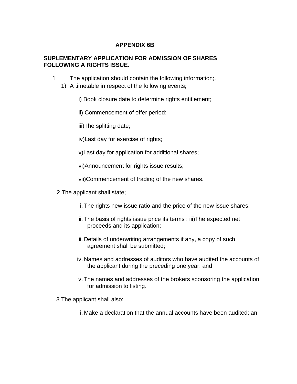## **APPENDIX 6B**

## **SUPLEMENTARY APPLICATION FOR ADMISSION OF SHARES FOLLOWING A RIGHTS ISSUE.**

- 1 The application should contain the following information;.
	- 1) A timetable in respect of the following events;
		- i) Book closure date to determine rights entitlement;
		- ii) Commencement of offer period;

iii)The splitting date;

iv)Last day for exercise of rights;

v)Last day for application for additional shares;

vi)Announcement for rights issue results;

vii)Commencement of trading of the new shares.

- 2 The applicant shall state;
	- i. The rights new issue ratio and the price of the new issue shares;
	- ii. The basis of rights issue price its terms ; iii)The expected net proceeds and its application;
	- iii. Details of underwriting arrangements if any, a copy of such agreement shall be submitted;
	- iv. Names and addresses of auditors who have audited the accounts of the applicant during the preceding one year; and
	- v. The names and addresses of the brokers sponsoring the application for admission to listing.

3 The applicant shall also;

i. Make a declaration that the annual accounts have been audited; an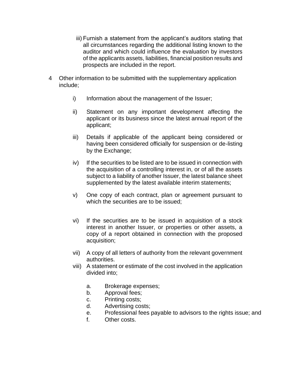- iii) Furnish a statement from the applicant's auditors stating that all circumstances regarding the additional listing known to the auditor and which could influence the evaluation by investors of the applicants assets, liabilities, financial position results and prospects are included in the report.
- 4 Other information to be submitted with the supplementary application include;
	- i) Information about the management of the Issuer;
	- ii) Statement on any important development affecting the applicant or its business since the latest annual report of the applicant;
	- iii) Details if applicable of the applicant being considered or having been considered officially for suspension or de-listing by the Exchange;
	- iv) If the securities to be listed are to be issued in connection with the acquisition of a controlling interest in, or of all the assets subject to a liability of another Issuer, the latest balance sheet supplemented by the latest available interim statements;
	- v) One copy of each contract, plan or agreement pursuant to which the securities are to be issued;
	- vi) If the securities are to be issued in acquisition of a stock interest in another Issuer, or properties or other assets, a copy of a report obtained in connection with the proposed acquisition;
	- vii) A copy of all letters of authority from the relevant government authorities.
	- viii) A statement or estimate of the cost involved in the application divided into;
		- a. Brokerage expenses;
		- b. Approval fees;
		- c. Printing costs;
		- d. Advertising costs;
		- e. Professional fees payable to advisors to the rights issue; and
		- f. Other costs.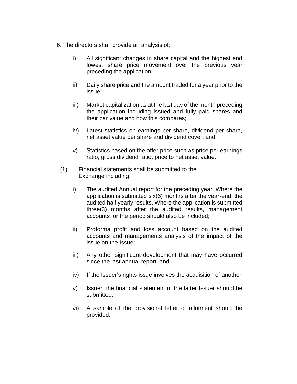- 6. The directors shall provide an analysis of;
	- i) All significant changes in share capital and the highest and lowest share price movement over the previous year preceding the application;
	- ii) Daily share price and the amount traded for a year prior to the issue;
	- iii) Market capitalization as at the last day of the month preceding the application including issued and fully paid shares and their par value and how this compares;
	- iv) Latest statistics on earnings per share, dividend per share, net asset value per share and dividend cover; and
	- v) Statistics based on the offer price such as price per earnings ratio, gross dividend ratio, price to net asset value.
	- (1) Financial statements shall be submitted to the Exchange including;
		- i) The audited Annual report for the preceding year. Where the application is submitted six(6) months after the year-end, the audited half yearly results. Where the application is submitted three(3) months after the audited results, management accounts for the period should also be included;
		- ii) Proforma profit and loss account based on the audited accounts and managements analysis of the impact of the issue on the Issue;
		- iii) Any other significant development that may have occurred since the last annual report; and
		- iv) If the Issuer's rights issue involves the acquisition of another
		- v) Issuer, the financial statement of the latter Issuer should be submitted.
		- vi) A sample of the provisional letter of allotment should be provided.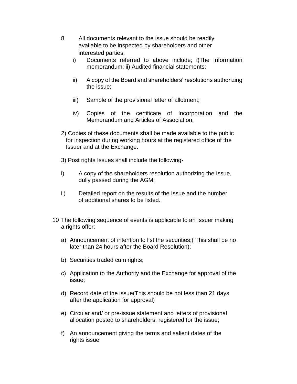- 8 All documents relevant to the issue should be readily available to be inspected by shareholders and other interested parties;
	- i) Documents referred to above include; i)The Information memorandum; ii) Audited financial statements;
	- ii) A copy of the Board and shareholders' resolutions authorizing the issue;
	- iii) Sample of the provisional letter of allotment;
	- iv) Copies of the certificate of Incorporation and the Memorandum and Articles of Association.
- 2) Copies of these documents shall be made available to the public for inspection during working hours at the registered office of the Issuer and at the Exchange.
- 3) Post rights Issues shall include the following-
- i) A copy of the shareholders resolution authorizing the Issue, dully passed during the AGM;
- ii) Detailed report on the results of the Issue and the number of additional shares to be listed.
- 10 The following sequence of events is applicable to an Issuer making a rights offer;
	- a) Announcement of intention to list the securities;( This shall be no later than 24 hours after the Board Resolution);
	- b) Securities traded cum rights;
	- c) Application to the Authority and the Exchange for approval of the issue;
	- d) Record date of the issue(This should be not less than 21 days after the application for approval)
	- e) Circular and/ or pre-issue statement and letters of provisional allocation posted to shareholders; registered for the issue;
	- f) An announcement giving the terms and salient dates of the rights issue;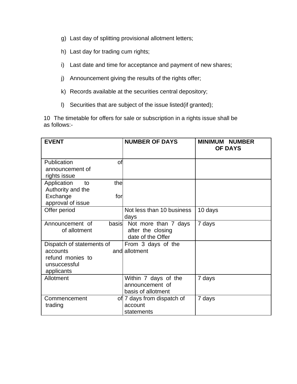- g) Last day of splitting provisional allotment letters;
- h) Last day for trading cum rights;
- i) Last date and time for acceptance and payment of new shares;
- j) Announcement giving the results of the rights offer;
- k) Records available at the securities central depository;
- l) Securities that are subject of the issue listed(if granted);

10 The timetable for offers for sale or subscription in a rights issue shall be as follows:-

| <b>EVENT</b>                                                                            | <b>NUMBER OF DAYS</b>                                          | <b>MINIMUM NUMBER</b><br><b>OF DAYS</b> |
|-----------------------------------------------------------------------------------------|----------------------------------------------------------------|-----------------------------------------|
| Publication<br>of<br>announcement of<br>rights issue                                    |                                                                |                                         |
| the<br>Application<br>to<br>Authority and the<br>Exchange<br>for<br>approval of issue   |                                                                |                                         |
| Offer period                                                                            | Not less than 10 business<br>days                              | 10 days                                 |
| basis<br>Announcement of<br>of allotment                                                | Not more than 7 days<br>after the closing<br>date of the Offer | 7 days                                  |
| Dispatch of statements of<br>accounts<br>refund monies to<br>unsuccessful<br>applicants | From 3 days of the<br>and allotment                            |                                         |
| Allotment                                                                               | Within 7 days of the<br>announcement of<br>basis of allotment  | 7 days                                  |
| Commencement<br>trading                                                                 | of 7 days from dispatch of<br>account<br>statements            | 7 days                                  |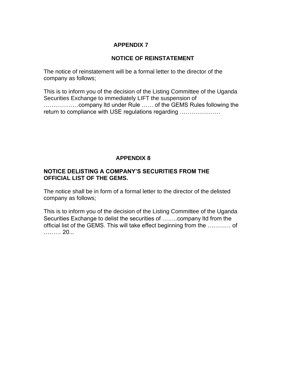## **NOTICE OF REINSTATEMENT**

The notice of reinstatement will be a formal letter to the director of the company as follows;

This is to inform you of the decision of the Listing Committee of the Uganda Securities Exchange to immediately LIFT the suspension of ………………company ltd under Rule …… of the GEMS Rules following the return to compliance with USE regulations regarding …………………

# **APPENDIX 8**

#### **NOTICE DELISTING A COMPANY'S SECURITIES FROM THE OFFICIAL LIST OF THE GEMS.**

The notice shall be in form of a formal letter to the director of the delisted company as follows;

This is to inform you of the decision of the Listing Committee of the Uganda Securities Exchange to delist the securities of ……..company ltd from the official list of the GEMS. This will take effect beginning from the ………… of ……… 20...